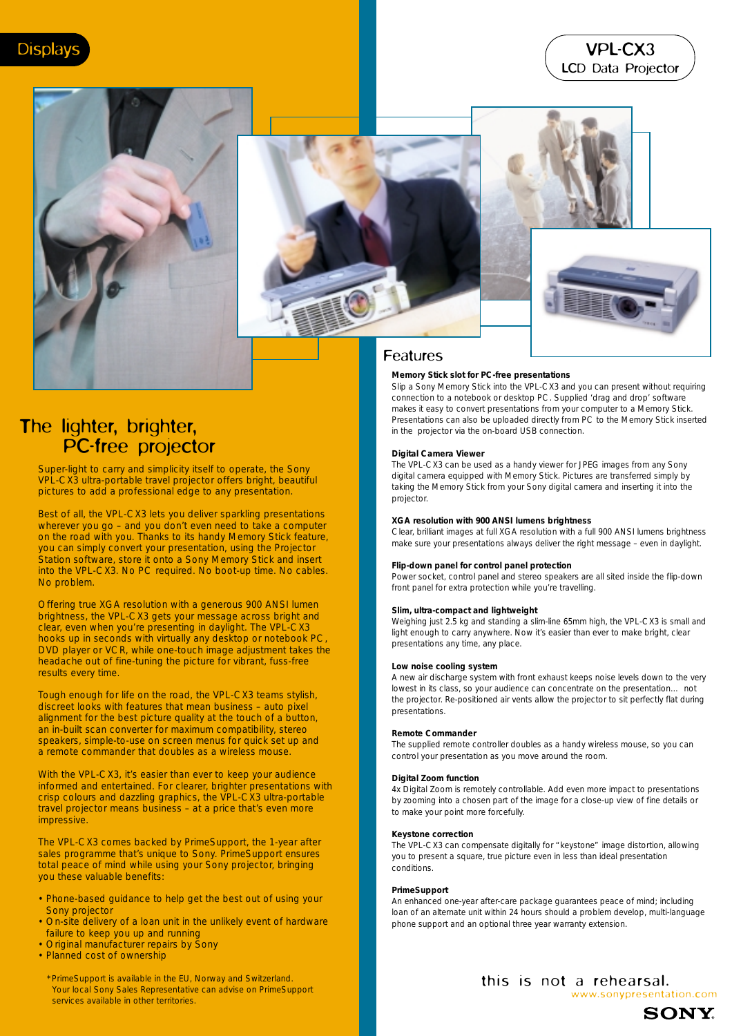# VPL-CX3 LCD Data Projector







# Features

# **Memory Stick slot for PC-free presentations**

Slip a Sony Memory Stick into the VPL-CX3 and you can present without requiring connection to a notebook or desktop PC. Supplied 'drag and drop' software makes it easy to convert presentations from your computer to a Memory Stick. Presentations can also be uploaded directly from PC to the Memory Stick inserted in the projector via the on-board USB connection.

### **Digital Camera Viewer**

The VPL-CX3 can be used as a handy viewer for JPEG images from any Sony digital camera equipped with Memory Stick. Pictures are transferred simply by taking the Memory Stick from your Sony digital camera and inserting it into the projector.

### **XGA resolution with 900 ANSI lumens brightness**

Clear, brilliant images at full XGA resolution with a full 900 ANSI lumens brightness make sure your presentations always deliver the right message – even in daylight.

#### **Flip-down panel for control panel protection**

Power socket, control panel and stereo speakers are all sited inside the flip-down front panel for extra protection while you're travelling.

# **Slim, ultra-compact and lightweight**

Weighing just 2.5 kg and standing a slim-line 65mm high, the VPL-CX3 is small and light enough to carry anywhere. Now it's easier than ever to make bright, clear presentations any time, any place.

## **Low noise cooling system**

A new air discharge system with front exhaust keeps noise levels down to the very lowest in its class, so your audience can concentrate on the presentation… not the projector. Re-positioned air vents allow the projector to sit perfectly flat during presentations.

#### **Remote Commander**

The supplied remote controller doubles as a handy wireless mouse, so you can control your presentation as you move around the room.

# **Digital Zoom function**

4x Digital Zoom is remotely controllable. Add even more impact to presentations by zooming into a chosen part of the image for a close-up view of fine details or to make your point more forcefully.

#### **Keystone correction**

The VPL-CX3 can compensate digitally for "keystone" image distortion, allowing you to present a square, true picture even in less than ideal presentation conditions.

## **PrimeSupport**

An enhanced one-year after-care package guarantees peace of mind; including loan of an alternate unit within 24 hours should a problem develop, multi-language phone support and an optional three year warranty extension.

# The lighter, brighter, PC-free projector

Super-light to carry and simplicity itself to operate, the Sony VPL-CX3 ultra-portable travel projector offers bright, beautiful pictures to add a professional edge to any presentation.

Best of all, the VPL-CX3 lets you deliver sparkling presentations wherever you go – and you don't even need to take a computer on the road with you. Thanks to its handy Memory Stick feature, you can simply convert your presentation, using the Projector Station software, store it onto a Sony Memory Stick and insert into the VPL-CX3. No PC required. No boot-up time. No cables. No problem.

Offering true XGA resolution with a generous 900 ANSI lumen brightness, the VPL-CX3 gets your message across bright and clear, even when you're presenting in daylight. The VPL-CX3 hooks up in seconds with virtually any desktop or notebook PC, DVD player or VCR, while one-touch image adjustment takes the headache out of fine-tuning the picture for vibrant, fuss-free results every time.

Tough enough for life on the road, the VPL-CX3 teams stylish, discreet looks with features that mean business – auto pixel alignment for the best picture quality at the touch of a button, an in-built scan converter for maximum compatibility, stereo speakers, simple-to-use on screen menus for quick set up and a remote commander that doubles as a wireless mouse.

With the VPL-CX3, it's easier than ever to keep your audience informed and entertained. For clearer, brighter presentations with crisp colours and dazzling graphics, the VPL-CX3 ultra-portable travel projector means business – at a price that's even more impressive.

The VPL-CX3 comes backed by PrimeSupport, the 1-year after sales programme that's unique to Sony. PrimeSupport ensures total peace of mind while using your Sony projector, bringing you these valuable benefits:

- Phone-based guidance to help get the best out of using your Sony projector
- On-site delivery of a loan unit in the unlikely event of hardware failure to keep you up and running
- Original manufacturer repairs by Sony
- Planned cost of ownership

\*PrimeSupport is available in the EU, Norway and Switzerland. Your local Sony Sales Representative can advise on PrimeSupport services available in other territories.